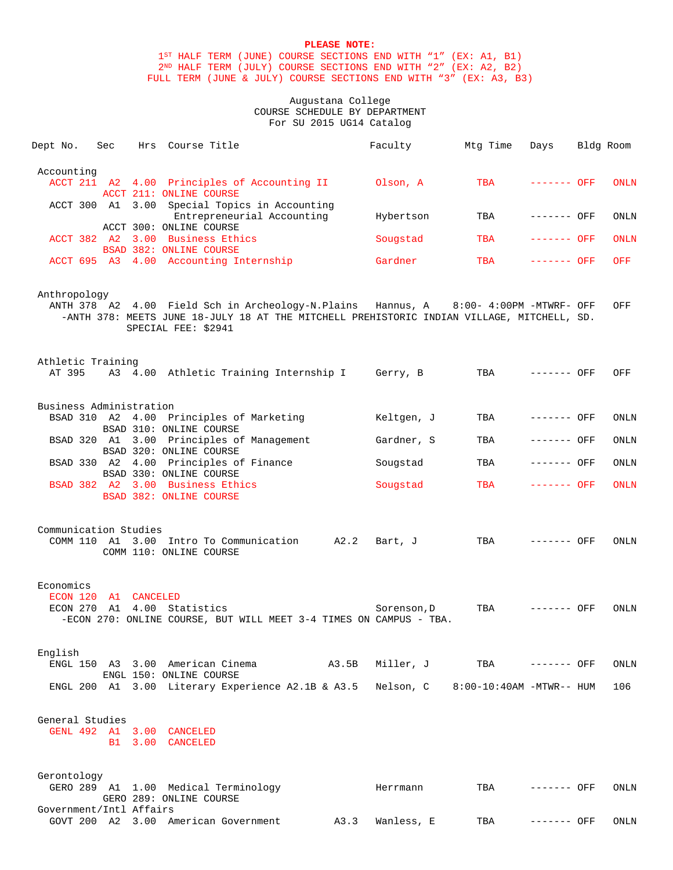# **PLEASE NOTE:**

1ST HALF TERM (JUNE) COURSE SECTIONS END WITH "1" (EX: A1, B1) 2ND HALF TERM (JULY) COURSE SECTIONS END WITH "2" (EX: A2, B2) FULL TERM (JUNE & JULY) COURSE SECTIONS END WITH "3" (EX: A3, B3)

# Augustana College COURSE SCHEDULE BY DEPARTMENT For SU 2015 UG14 Catalog

| Dept No.                          | Sec | Hrs Course Title                                                                                                                                                                                          |      | Faculty                            | Mtg Time | Days         | Bldg Room |             |
|-----------------------------------|-----|-----------------------------------------------------------------------------------------------------------------------------------------------------------------------------------------------------------|------|------------------------------------|----------|--------------|-----------|-------------|
| Accounting                        |     | ACCT 211 A2 4.00 Principles of Accounting II 01son, A<br>ACCT 211: ONLINE COURSE                                                                                                                          |      |                                    | TBA      | ------- OFF  |           | <b>ONLN</b> |
|                                   |     | ACCT 300 A1 3.00 Special Topics in Accounting<br>Entrepreneurial Accounting                                                                                                                               |      | Hybertson                          | TBA      | ------- OFF  |           | ONLN        |
|                                   |     | ACCT 300: ONLINE COURSE<br>ACCT 382 A2 3.00 Business Ethics                                                                                                                                               |      | Sougstad                           | TBA      | ------- OFF  |           | ONLN        |
|                                   |     | BSAD 382: ONLINE COURSE<br>ACCT 695 A3 4.00 Accounting Internship                                                                                                                                         |      | Gardner                            | TBA      | $------$ OFF |           | OFF         |
| Anthropology                      |     | ANTH 378 A2 4.00 Field Sch in Archeology-N.Plains Hannus, A 8:00- 4:00PM -MTWRF- OFF<br>-ANTH 378: MEETS JUNE 18-JULY 18 AT THE MITCHELL PREHISTORIC INDIAN VILLAGE, MITCHELL, SD.<br>SPECIAL FEE: \$2941 |      |                                    |          |              |           | OFF         |
| Athletic Training                 |     | AT 395 A3 4.00 Athletic Training Internship I Gerry, B                                                                                                                                                    |      |                                    | TBA      | ------- OFF  |           | OFF         |
| Business Administration           |     | BSAD 310 A2 4.00 Principles of Marketing<br>BSAD 310: ONLINE COURSE                                                                                                                                       |      | Keltgen, J                         | TBA      | ------- OFF  |           | ONLN        |
|                                   |     | BSAD 320 A1 3.00 Principles of Management                                                                                                                                                                 |      | Gardner, S                         | TBA      | ------- OFF  |           | ONLN        |
|                                   |     | BSAD 320: ONLINE COURSE<br>BSAD 330 A2 4.00 Principles of Finance                                                                                                                                         |      | Sougstad                           | TBA      | ------- OFF  |           | ONLN        |
|                                   |     | BSAD 330: ONLINE COURSE<br>BSAD 382 A2 3.00 Business Ethics<br>BSAD 382: ONLINE COURSE                                                                                                                    |      | Sougstad                           | TBA      | ------- OFF  |           | <b>ONLN</b> |
| Communication Studies             |     | COMM 110 A1 3.00 Intro To Communication A2.2<br>COMM 110: ONLINE COURSE                                                                                                                                   |      | Bart, J                            | TBA      | ------- OFF  |           | <b>ONLN</b> |
| Economics<br>ECON 120 A1 CANCELED |     | ECON 270 A1 4.00 Statistics<br>-ECON 270: ONLINE COURSE, BUT WILL MEET 3-4 TIMES ON CAMPUS - TBA.                                                                                                         |      | Sorenson, D                        | TBA      | ------- OFF  |           | ONLN        |
| English                           |     | ENGL 150 A3 3.00 American Cinema (A3.5B)<br>ENGL 150: ONLINE COURSE                                                                                                                                       |      | Miller, J TBA                      |          | ------- OFF  |           | ONLN        |
|                                   |     | ENGL 200 A1 3.00 Literary Experience A2.1B & A3.5                                                                                                                                                         |      | Nelson, C 8:00-10:40AM -MTWR-- HUM |          |              |           | 106         |
| General Studies                   |     | GENL 492 A1 3.00 CANCELED<br>B1 3.00 CANCELED                                                                                                                                                             |      |                                    |          |              |           |             |
| Gerontology                       |     | GERO 289 A1 1.00 Medical Terminology<br>GERO 289: ONLINE COURSE                                                                                                                                           |      | Herrmann                           | TBA      | ------- OFF  |           | ONLN        |
| Government/Intl Affairs           |     | GOVT 200 A2 3.00 American Government                                                                                                                                                                      | A3.3 | Wanless, E                         | TBA      | ------- OFF  |           | ONLN        |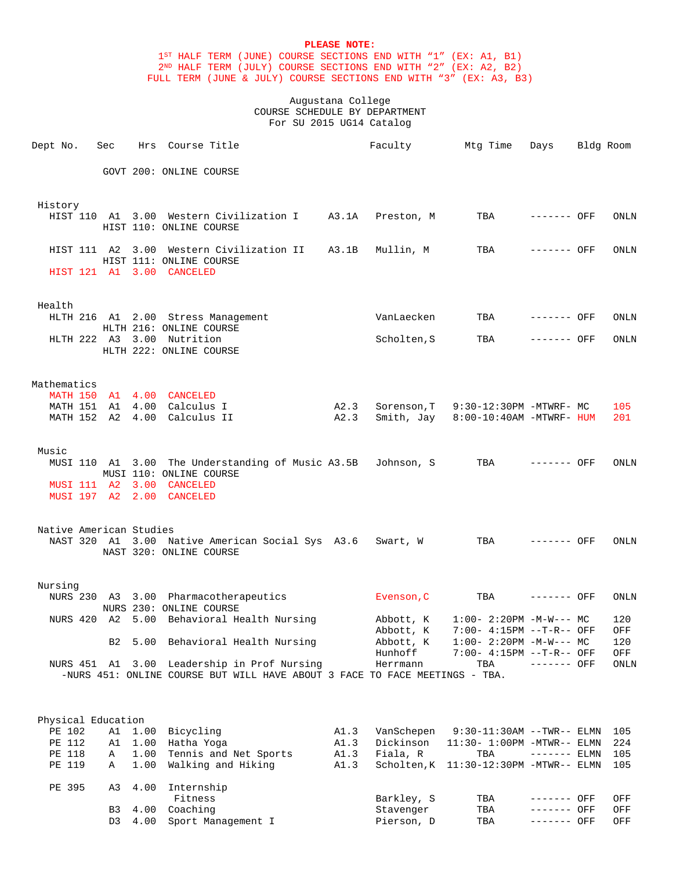# **PLEASE NOTE:**

1ST HALF TERM (JUNE) COURSE SECTIONS END WITH "1" (EX: A1, B1) 2ND HALF TERM (JULY) COURSE SECTIONS END WITH "2" (EX: A2, B2) FULL TERM (JUNE & JULY) COURSE SECTIONS END WITH "3" (EX: A3, B3)

> Augustana College COURSE SCHEDULE BY DEPARTMENT For SU 2015 UG14 Catalog

| Dept No.                | Sec              |      | Hrs Course Title                                                            |              | Faculty                 | Mtg Time                                                      | Days                       | Bldg Room |             |
|-------------------------|------------------|------|-----------------------------------------------------------------------------|--------------|-------------------------|---------------------------------------------------------------|----------------------------|-----------|-------------|
|                         |                  |      | GOVT 200: ONLINE COURSE                                                     |              |                         |                                                               |                            |           |             |
| History                 |                  |      |                                                                             |              |                         |                                                               |                            |           |             |
|                         |                  |      | HIST 110 A1 3.00 Western Civilization I A3.1A<br>HIST 110: ONLINE COURSE    |              | Preston, M              | TBA                                                           | ------- OFF                |           | ONLN        |
| HIST 111 A2             |                  |      | 3.00 Western Civilization II A3.1B<br>HIST 111: ONLINE COURSE               |              | Mullin, M               | TBA                                                           | ------- OFF                |           | ONLN        |
|                         |                  |      | HIST 121 A1 3.00 CANCELED                                                   |              |                         |                                                               |                            |           |             |
| Health                  |                  |      |                                                                             |              |                         |                                                               |                            |           |             |
|                         |                  |      | HLTH 216 A1 2.00 Stress Management<br>HLTH 216: ONLINE COURSE               |              | VanLaecken              | TBA                                                           | ------- OFF                |           | ONLN        |
|                         |                  |      | HLTH 222 A3 3.00 Nutrition<br>HLTH 222: ONLINE COURSE                       |              | Scholten, S             | TBA                                                           | ------- OFF                |           | <b>ONLN</b> |
| Mathematics             |                  |      |                                                                             |              |                         |                                                               |                            |           |             |
|                         |                  |      | MATH 150 A1 4.00 CANCELED                                                   |              |                         |                                                               |                            |           |             |
|                         |                  |      | MATH 151 A1 4.00 Calculus I                                                 | A2.3         | Sorenson, T             | 9:30-12:30PM -MTWRF- MC                                       |                            |           | 105         |
|                         |                  |      | MATH 152 A2 4.00 Calculus II                                                | A2.3         | Smith, Jay              | 8:00-10:40AM -MTWRF- HUM                                      |                            |           | 201         |
| Music                   |                  |      |                                                                             |              |                         |                                                               |                            |           |             |
|                         |                  |      | MUSI 110 A1 3.00 The Understanding of Music A3.5B Johnson, S                |              |                         | TBA                                                           | ------- OFF                |           | ONLN        |
|                         | MUSI 111 A2 3.00 |      | MUSI 110: ONLINE COURSE<br>CANCELED                                         |              |                         |                                                               |                            |           |             |
|                         |                  |      | MUSI 197 A2 2.00 CANCELED                                                   |              |                         |                                                               |                            |           |             |
|                         |                  |      |                                                                             |              |                         |                                                               |                            |           |             |
| Native American Studies |                  |      | NAST 320 A1 3.00 Native American Social Sys A3.6                            |              | Swart, W                | TBA                                                           | ------- OFF                |           | ONLN        |
|                         |                  |      | NAST 320: ONLINE COURSE                                                     |              |                         |                                                               |                            |           |             |
| Nursing                 |                  |      |                                                                             |              |                         |                                                               |                            |           |             |
|                         |                  |      | NURS 230 A3 3.00 Pharmacotherapeutics                                       |              | Evenson, C              | TBA                                                           | ------- OFF                |           | <b>ONLN</b> |
|                         |                  |      | NURS 230: ONLINE COURSE<br>NURS 420 A2 5.00 Behavioral Health Nursing       |              | Abbott, K               | $1:00-2:20PM -M-W--- MC$                                      |                            |           | 120         |
|                         |                  |      |                                                                             |              | Abbott, K               | 7:00- 4:15PM --T-R-- OFF                                      |                            |           | OFF         |
|                         | B2               |      | 5.00 Behavioral Health Nursing                                              |              | Abbott, K<br>Hunhoff    | $1:00-2:20PM -M-W--- MC$<br>7:00- 4:15PM --T-R-- OFF          |                            |           | 120<br>OFF  |
|                         |                  |      | NURS 451 A1 3.00 Leadership in Prof Nursing                                 |              | Herrmann                | TBA                                                           | ------- OFF                |           | ONLN        |
|                         |                  |      | -NURS 451: ONLINE COURSE BUT WILL HAVE ABOUT 3 FACE TO FACE MEETINGS - TBA. |              |                         |                                                               |                            |           |             |
|                         |                  |      |                                                                             |              |                         |                                                               |                            |           |             |
| Physical Education      |                  |      |                                                                             |              |                         |                                                               |                            |           |             |
| PE 102<br>PE 112        | A1<br>A1         |      | 1.00 Bicycling<br>1.00 Hatha Yoga                                           | A1.3<br>A1.3 | VanSchepen<br>Dickinson | $9:30-11:30AM$ --TWR-- ELMN<br>$11:30 - 1:00PM -MTWR -- ELMN$ |                            |           | 105<br>224  |
| PE 118                  | Α                |      | 1.00 Tennis and Net Sports                                                  | A1.3         | Fiala, R                | TBA                                                           | ------- ELMN               |           | 105         |
| PE 119                  | Α                | 1.00 | Walking and Hiking                                                          | A1.3         |                         | Scholten, K 11:30-12:30PM -MTWR-- ELMN                        |                            |           | 105         |
| PE 395                  | A3               | 4.00 | Internship                                                                  |              |                         |                                                               |                            |           |             |
|                         |                  |      | Fitness                                                                     |              | Barkley, S              | TBA                                                           | ------- OFF                |           | OFF         |
|                         | D3               | 4.00 | B3 4.00 Coaching<br>Sport Management I                                      |              | Stavenger<br>Pierson, D | TBA<br>TBA                                                    | ------- OFF<br>------- OFF |           | OFF<br>OFF  |
|                         |                  |      |                                                                             |              |                         |                                                               |                            |           |             |